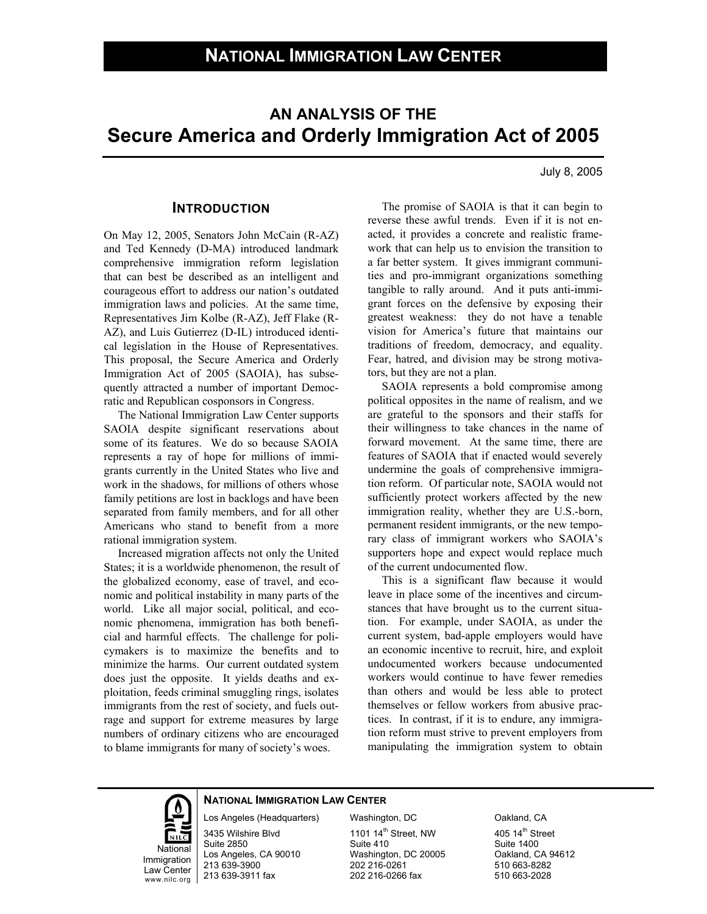# **AN ANALYSIS OF THE Secure America and Orderly Immigration Act of 2005**

July 8, 2005

#### **INTRODUCTION**

On May 12, 2005, Senators John McCain (R-AZ) and Ted Kennedy (D-MA) introduced landmark comprehensive immigration reform legislation that can best be described as an intelligent and courageous effort to address our nation's outdated immigration laws and policies. At the same time, Representatives Jim Kolbe (R-AZ), Jeff Flake (R-AZ), and Luis Gutierrez (D-IL) introduced identical legislation in the House of Representatives. This proposal, the Secure America and Orderly Immigration Act of 2005 (SAOIA), has subsequently attracted a number of important Democratic and Republican cosponsors in Congress.

 The National Immigration Law Center supports SAOIA despite significant reservations about some of its features. We do so because SAOIA represents a ray of hope for millions of immigrants currently in the United States who live and work in the shadows, for millions of others whose family petitions are lost in backlogs and have been separated from family members, and for all other Americans who stand to benefit from a more rational immigration system.

 Increased migration affects not only the United States; it is a worldwide phenomenon, the result of the globalized economy, ease of travel, and economic and political instability in many parts of the world. Like all major social, political, and economic phenomena, immigration has both beneficial and harmful effects. The challenge for policymakers is to maximize the benefits and to minimize the harms. Our current outdated system does just the opposite. It yields deaths and exploitation, feeds criminal smuggling rings, isolates immigrants from the rest of society, and fuels outrage and support for extreme measures by large numbers of ordinary citizens who are encouraged to blame immigrants for many of society's woes.

 The promise of SAOIA is that it can begin to reverse these awful trends. Even if it is not enacted, it provides a concrete and realistic framework that can help us to envision the transition to a far better system. It gives immigrant communities and pro-immigrant organizations something tangible to rally around. And it puts anti-immigrant forces on the defensive by exposing their greatest weakness: they do not have a tenable vision for America's future that maintains our traditions of freedom, democracy, and equality. Fear, hatred, and division may be strong motivators, but they are not a plan.

 SAOIA represents a bold compromise among political opposites in the name of realism, and we are grateful to the sponsors and their staffs for their willingness to take chances in the name of forward movement. At the same time, there are features of SAOIA that if enacted would severely undermine the goals of comprehensive immigration reform. Of particular note, SAOIA would not sufficiently protect workers affected by the new immigration reality, whether they are U.S.-born, permanent resident immigrants, or the new temporary class of immigrant workers who SAOIA's supporters hope and expect would replace much of the current undocumented flow.

 This is a significant flaw because it would leave in place some of the incentives and circumstances that have brought us to the current situation. For example, under SAOIA, as under the current system, bad-apple employers would have an economic incentive to recruit, hire, and exploit undocumented workers because undocumented workers would continue to have fewer remedies than others and would be less able to protect themselves or fellow workers from abusive practices. In contrast, if it is to endure, any immigration reform must strive to prevent employers from manipulating the immigration system to obtain

# National

**Immigration** Law Center www.nilc.org

#### **NATIONAL IMMIGRATION LAW CENTER**

Los Angeles (Headquarters)

3435 Wilshire Blvd Suite 2850 Los Angeles, CA 90010 213 639-3900 213 639-3911 fax

Washington, DC 1101 14<sup>th</sup> Street, NW Suite 410 Washington, DC 20005 202 216-0261 202 216-0266 fax

Oakland, CA 405 14<sup>th</sup> Street Suite 1400 Oakland, CA 94612 510 663-8282 510 663-2028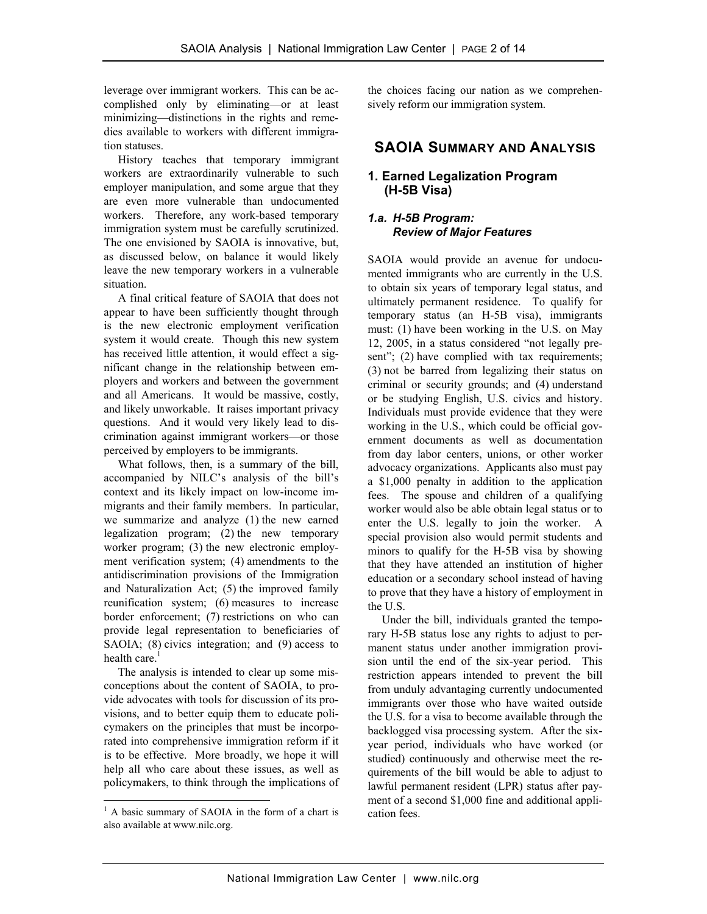leverage over immigrant workers. This can be accomplished only by eliminating—or at least minimizing—distinctions in the rights and remedies available to workers with different immigration statuses.

 History teaches that temporary immigrant workers are extraordinarily vulnerable to such employer manipulation, and some argue that they are even more vulnerable than undocumented workers. Therefore, any work-based temporary immigration system must be carefully scrutinized. The one envisioned by SAOIA is innovative, but, as discussed below, on balance it would likely leave the new temporary workers in a vulnerable situation.

 A final critical feature of SAOIA that does not appear to have been sufficiently thought through is the new electronic employment verification system it would create. Though this new system has received little attention, it would effect a significant change in the relationship between employers and workers and between the government and all Americans. It would be massive, costly, and likely unworkable. It raises important privacy questions. And it would very likely lead to discrimination against immigrant workers—or those perceived by employers to be immigrants.

 What follows, then, is a summary of the bill, accompanied by NILC's analysis of the bill's context and its likely impact on low-income immigrants and their family members. In particular, we summarize and analyze (1) the new earned legalization program; (2) the new temporary worker program; (3) the new electronic employment verification system; (4) amendments to the antidiscrimination provisions of the Immigration and Naturalization Act; (5) the improved family reunification system; (6) measures to increase border enforcement; (7) restrictions on who can provide legal representation to beneficiaries of SAOIA; (8) civics integration; and (9) access to health care.<sup>1</sup>

 The analysis is intended to clear up some misconceptions about the content of SAOIA, to provide advocates with tools for discussion of its provisions, and to better equip them to educate policymakers on the principles that must be incorporated into comprehensive immigration reform if it is to be effective. More broadly, we hope it will help all who care about these issues, as well as policymakers, to think through the implications of

-

the choices facing our nation as we comprehensively reform our immigration system.

# **SAOIA SUMMARY AND ANALYSIS**

#### **1. Earned Legalization Program (H-5B Visa)**

#### *1.a. H-5B Program: Review of Major Features*

SAOIA would provide an avenue for undocumented immigrants who are currently in the U.S. to obtain six years of temporary legal status, and ultimately permanent residence. To qualify for temporary status (an H-5B visa), immigrants must: (1) have been working in the U.S. on May 12, 2005, in a status considered "not legally present"; (2) have complied with tax requirements; (3) not be barred from legalizing their status on criminal or security grounds; and (4) understand or be studying English, U.S. civics and history. Individuals must provide evidence that they were working in the U.S., which could be official government documents as well as documentation from day labor centers, unions, or other worker advocacy organizations. Applicants also must pay a \$1,000 penalty in addition to the application fees. The spouse and children of a qualifying worker would also be able obtain legal status or to enter the U.S. legally to join the worker. A special provision also would permit students and minors to qualify for the H-5B visa by showing that they have attended an institution of higher education or a secondary school instead of having to prove that they have a history of employment in the U.S.

 Under the bill, individuals granted the temporary H-5B status lose any rights to adjust to permanent status under another immigration provision until the end of the six-year period. This restriction appears intended to prevent the bill from unduly advantaging currently undocumented immigrants over those who have waited outside the U.S. for a visa to become available through the backlogged visa processing system. After the sixyear period, individuals who have worked (or studied) continuously and otherwise meet the requirements of the bill would be able to adjust to lawful permanent resident (LPR) status after payment of a second \$1,000 fine and additional application fees.

<sup>&</sup>lt;sup>1</sup> A basic summary of SAOIA in the form of a chart is also available at www.nilc.org.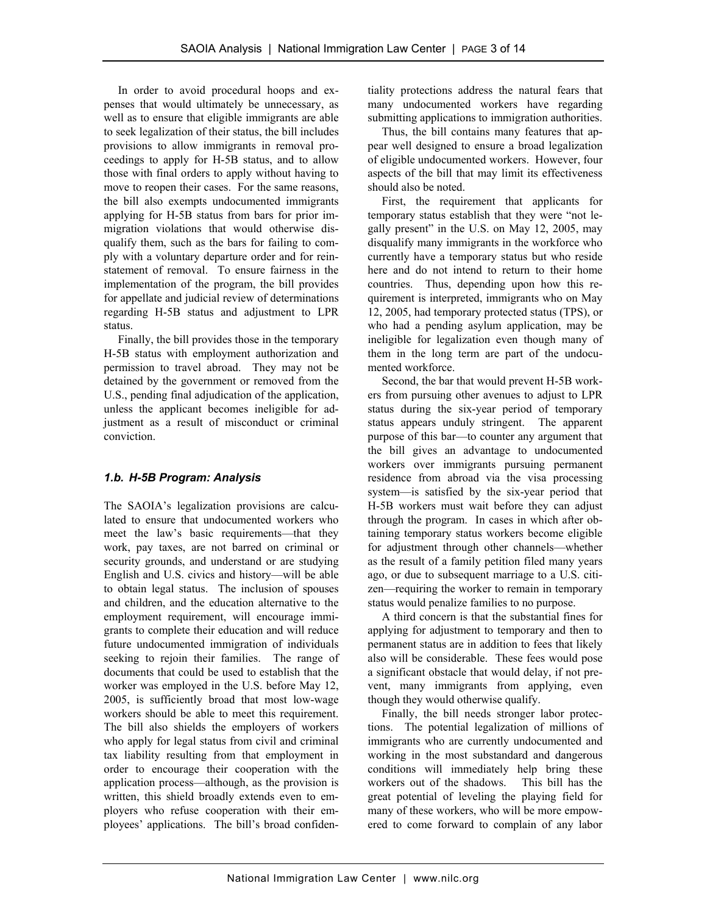In order to avoid procedural hoops and expenses that would ultimately be unnecessary, as well as to ensure that eligible immigrants are able to seek legalization of their status, the bill includes provisions to allow immigrants in removal proceedings to apply for H-5B status, and to allow those with final orders to apply without having to move to reopen their cases. For the same reasons, the bill also exempts undocumented immigrants applying for H-5B status from bars for prior immigration violations that would otherwise disqualify them, such as the bars for failing to comply with a voluntary departure order and for reinstatement of removal. To ensure fairness in the implementation of the program, the bill provides for appellate and judicial review of determinations regarding H-5B status and adjustment to LPR status.

 Finally, the bill provides those in the temporary H-5B status with employment authorization and permission to travel abroad. They may not be detained by the government or removed from the U.S., pending final adjudication of the application, unless the applicant becomes ineligible for adjustment as a result of misconduct or criminal conviction.

# *1.b. H-5B Program: Analysis*

The SAOIA's legalization provisions are calculated to ensure that undocumented workers who meet the law's basic requirements—that they work, pay taxes, are not barred on criminal or security grounds, and understand or are studying English and U.S. civics and history—will be able to obtain legal status. The inclusion of spouses and children, and the education alternative to the employment requirement, will encourage immigrants to complete their education and will reduce future undocumented immigration of individuals seeking to rejoin their families. The range of documents that could be used to establish that the worker was employed in the U.S. before May 12, 2005, is sufficiently broad that most low-wage workers should be able to meet this requirement. The bill also shields the employers of workers who apply for legal status from civil and criminal tax liability resulting from that employment in order to encourage their cooperation with the application process—although, as the provision is written, this shield broadly extends even to employers who refuse cooperation with their employees' applications. The bill's broad confidentiality protections address the natural fears that many undocumented workers have regarding submitting applications to immigration authorities.

 Thus, the bill contains many features that appear well designed to ensure a broad legalization of eligible undocumented workers. However, four aspects of the bill that may limit its effectiveness should also be noted.

 First, the requirement that applicants for temporary status establish that they were "not legally present" in the U.S. on May 12, 2005, may disqualify many immigrants in the workforce who currently have a temporary status but who reside here and do not intend to return to their home countries. Thus, depending upon how this requirement is interpreted, immigrants who on May 12, 2005, had temporary protected status (TPS), or who had a pending asylum application, may be ineligible for legalization even though many of them in the long term are part of the undocumented workforce.

 Second, the bar that would prevent H-5B workers from pursuing other avenues to adjust to LPR status during the six-year period of temporary status appears unduly stringent. The apparent purpose of this bar—to counter any argument that the bill gives an advantage to undocumented workers over immigrants pursuing permanent residence from abroad via the visa processing system—is satisfied by the six-year period that H-5B workers must wait before they can adjust through the program. In cases in which after obtaining temporary status workers become eligible for adjustment through other channels—whether as the result of a family petition filed many years ago, or due to subsequent marriage to a U.S. citizen—requiring the worker to remain in temporary status would penalize families to no purpose.

 A third concern is that the substantial fines for applying for adjustment to temporary and then to permanent status are in addition to fees that likely also will be considerable. These fees would pose a significant obstacle that would delay, if not prevent, many immigrants from applying, even though they would otherwise qualify.

 Finally, the bill needs stronger labor protections. The potential legalization of millions of immigrants who are currently undocumented and working in the most substandard and dangerous conditions will immediately help bring these workers out of the shadows. This bill has the great potential of leveling the playing field for many of these workers, who will be more empowered to come forward to complain of any labor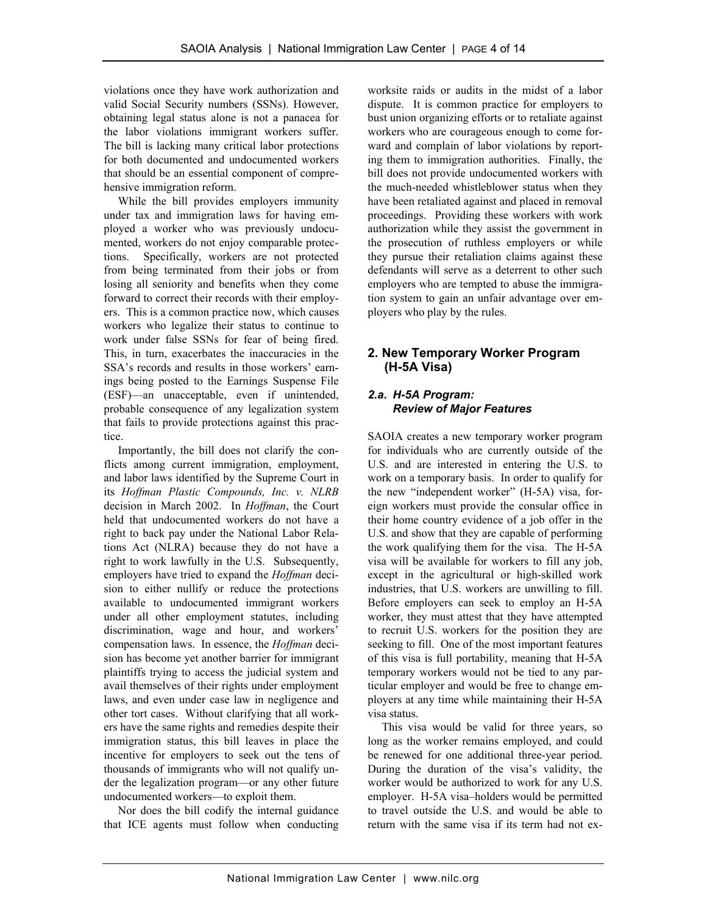violations once they have work authorization and valid Social Security numbers (SSNs). However, obtaining legal status alone is not a panacea for the labor violations immigrant workers suffer. The bill is lacking many critical labor protections for both documented and undocumented workers that should be an essential component of comprehensive immigration reform.

 While the bill provides employers immunity under tax and immigration laws for having employed a worker who was previously undocumented, workers do not enjoy comparable protections. Specifically, workers are not protected from being terminated from their jobs or from losing all seniority and benefits when they come forward to correct their records with their employers. This is a common practice now, which causes workers who legalize their status to continue to work under false SSNs for fear of being fired. This, in turn, exacerbates the inaccuracies in the SSA's records and results in those workers' earnings being posted to the Earnings Suspense File (ESF)—an unacceptable, even if unintended, probable consequence of any legalization system that fails to provide protections against this practice.

 Importantly, the bill does not clarify the conflicts among current immigration, employment, and labor laws identified by the Supreme Court in its *Hoffman Plastic Compounds, Inc. v. NLRB*  decision in March 2002. In *Hoffman*, the Court held that undocumented workers do not have a right to back pay under the National Labor Relations Act (NLRA) because they do not have a right to work lawfully in the U.S. Subsequently, employers have tried to expand the *Hoffman* decision to either nullify or reduce the protections available to undocumented immigrant workers under all other employment statutes, including discrimination, wage and hour, and workers' compensation laws. In essence, the *Hoffman* decision has become yet another barrier for immigrant plaintiffs trying to access the judicial system and avail themselves of their rights under employment laws, and even under case law in negligence and other tort cases. Without clarifying that all workers have the same rights and remedies despite their immigration status, this bill leaves in place the incentive for employers to seek out the tens of thousands of immigrants who will not qualify under the legalization program—or any other future undocumented workers—to exploit them.

 Nor does the bill codify the internal guidance that ICE agents must follow when conducting worksite raids or audits in the midst of a labor dispute. It is common practice for employers to bust union organizing efforts or to retaliate against workers who are courageous enough to come forward and complain of labor violations by reporting them to immigration authorities. Finally, the bill does not provide undocumented workers with the much-needed whistleblower status when they have been retaliated against and placed in removal proceedings. Providing these workers with work authorization while they assist the government in the prosecution of ruthless employers or while they pursue their retaliation claims against these defendants will serve as a deterrent to other such employers who are tempted to abuse the immigration system to gain an unfair advantage over employers who play by the rules.

# **2. New Temporary Worker Program (H-5A Visa)**

#### *2.a. H-5A Program: Review of Major Features*

SAOIA creates a new temporary worker program for individuals who are currently outside of the U.S. and are interested in entering the U.S. to work on a temporary basis. In order to qualify for the new "independent worker" (H-5A) visa, foreign workers must provide the consular office in their home country evidence of a job offer in the U.S. and show that they are capable of performing the work qualifying them for the visa. The H-5A visa will be available for workers to fill any job, except in the agricultural or high-skilled work industries, that U.S. workers are unwilling to fill. Before employers can seek to employ an H-5A worker, they must attest that they have attempted to recruit U.S. workers for the position they are seeking to fill. One of the most important features of this visa is full portability, meaning that H-5A temporary workers would not be tied to any particular employer and would be free to change employers at any time while maintaining their H-5A visa status.

 This visa would be valid for three years, so long as the worker remains employed, and could be renewed for one additional three-year period. During the duration of the visa's validity, the worker would be authorized to work for any U.S. employer. H-5A visa–holders would be permitted to travel outside the U.S. and would be able to return with the same visa if its term had not ex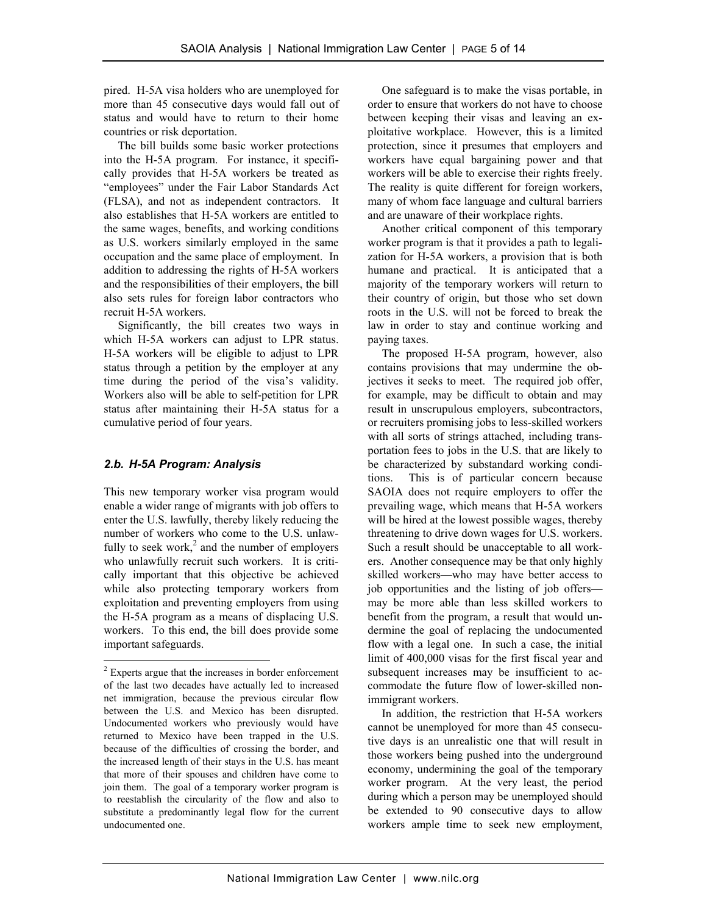pired. H-5A visa holders who are unemployed for more than 45 consecutive days would fall out of status and would have to return to their home countries or risk deportation.

 The bill builds some basic worker protections into the H-5A program. For instance, it specifically provides that H-5A workers be treated as "employees" under the Fair Labor Standards Act (FLSA), and not as independent contractors. It also establishes that H-5A workers are entitled to the same wages, benefits, and working conditions as U.S. workers similarly employed in the same occupation and the same place of employment. In addition to addressing the rights of H-5A workers and the responsibilities of their employers, the bill also sets rules for foreign labor contractors who recruit H-5A workers.

 Significantly, the bill creates two ways in which H-5A workers can adjust to LPR status. H-5A workers will be eligible to adjust to LPR status through a petition by the employer at any time during the period of the visa's validity. Workers also will be able to self-petition for LPR status after maintaining their H-5A status for a cumulative period of four years.

#### *2.b. H-5A Program: Analysis*

 $\overline{a}$ 

This new temporary worker visa program would enable a wider range of migrants with job offers to enter the U.S. lawfully, thereby likely reducing the number of workers who come to the U.S. unlawfully to seek work,<sup>2</sup> and the number of employers who unlawfully recruit such workers. It is critically important that this objective be achieved while also protecting temporary workers from exploitation and preventing employers from using the H-5A program as a means of displacing U.S. workers. To this end, the bill does provide some important safeguards.

 One safeguard is to make the visas portable, in order to ensure that workers do not have to choose between keeping their visas and leaving an exploitative workplace. However, this is a limited protection, since it presumes that employers and workers have equal bargaining power and that workers will be able to exercise their rights freely. The reality is quite different for foreign workers, many of whom face language and cultural barriers and are unaware of their workplace rights.

 Another critical component of this temporary worker program is that it provides a path to legalization for H-5A workers, a provision that is both humane and practical. It is anticipated that a majority of the temporary workers will return to their country of origin, but those who set down roots in the U.S. will not be forced to break the law in order to stay and continue working and paying taxes.

 The proposed H-5A program, however, also contains provisions that may undermine the objectives it seeks to meet. The required job offer, for example, may be difficult to obtain and may result in unscrupulous employers, subcontractors, or recruiters promising jobs to less-skilled workers with all sorts of strings attached, including transportation fees to jobs in the U.S. that are likely to be characterized by substandard working conditions. This is of particular concern because SAOIA does not require employers to offer the prevailing wage, which means that H-5A workers will be hired at the lowest possible wages, thereby threatening to drive down wages for U.S. workers. Such a result should be unacceptable to all workers. Another consequence may be that only highly skilled workers—who may have better access to job opportunities and the listing of job offers may be more able than less skilled workers to benefit from the program, a result that would undermine the goal of replacing the undocumented flow with a legal one. In such a case, the initial limit of 400,000 visas for the first fiscal year and subsequent increases may be insufficient to accommodate the future flow of lower-skilled nonimmigrant workers.

 In addition, the restriction that H-5A workers cannot be unemployed for more than 45 consecutive days is an unrealistic one that will result in those workers being pushed into the underground economy, undermining the goal of the temporary worker program. At the very least, the period during which a person may be unemployed should be extended to 90 consecutive days to allow workers ample time to seek new employment,

<sup>&</sup>lt;sup>2</sup> Experts argue that the increases in border enforcement of the last two decades have actually led to increased net immigration, because the previous circular flow between the U.S. and Mexico has been disrupted. Undocumented workers who previously would have returned to Mexico have been trapped in the U.S. because of the difficulties of crossing the border, and the increased length of their stays in the U.S. has meant that more of their spouses and children have come to join them. The goal of a temporary worker program is to reestablish the circularity of the flow and also to substitute a predominantly legal flow for the current undocumented one.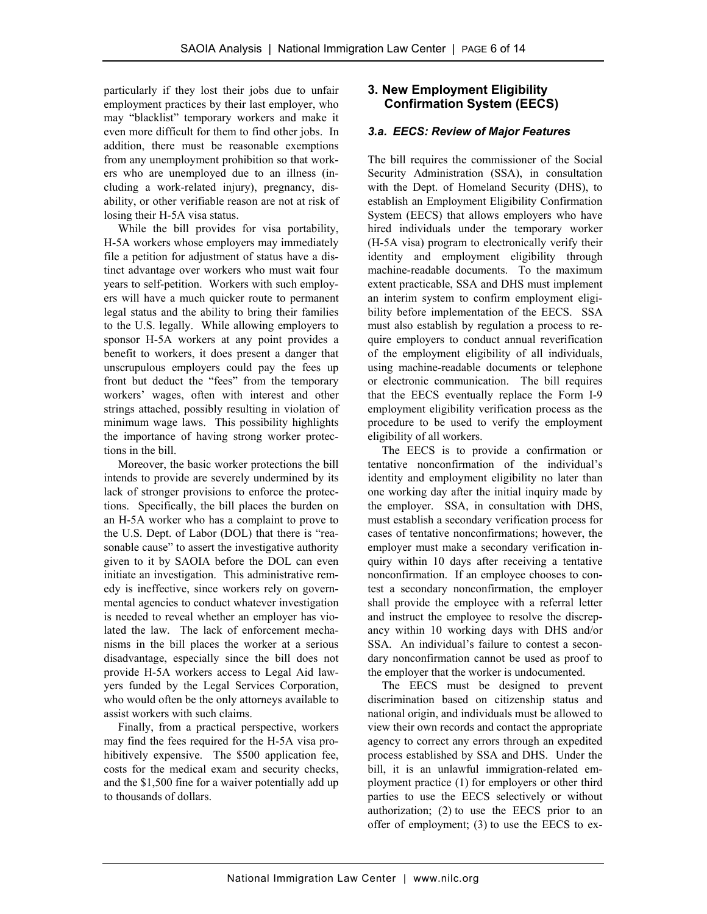particularly if they lost their jobs due to unfair employment practices by their last employer, who may "blacklist" temporary workers and make it even more difficult for them to find other jobs. In addition, there must be reasonable exemptions from any unemployment prohibition so that workers who are unemployed due to an illness (including a work-related injury), pregnancy, disability, or other verifiable reason are not at risk of losing their H-5A visa status.

 While the bill provides for visa portability, H-5A workers whose employers may immediately file a petition for adjustment of status have a distinct advantage over workers who must wait four years to self-petition. Workers with such employers will have a much quicker route to permanent legal status and the ability to bring their families to the U.S. legally. While allowing employers to sponsor H-5A workers at any point provides a benefit to workers, it does present a danger that unscrupulous employers could pay the fees up front but deduct the "fees" from the temporary workers' wages, often with interest and other strings attached, possibly resulting in violation of minimum wage laws. This possibility highlights the importance of having strong worker protections in the bill.

 Moreover, the basic worker protections the bill intends to provide are severely undermined by its lack of stronger provisions to enforce the protections. Specifically, the bill places the burden on an H-5A worker who has a complaint to prove to the U.S. Dept. of Labor (DOL) that there is "reasonable cause" to assert the investigative authority given to it by SAOIA before the DOL can even initiate an investigation. This administrative remedy is ineffective, since workers rely on governmental agencies to conduct whatever investigation is needed to reveal whether an employer has violated the law. The lack of enforcement mechanisms in the bill places the worker at a serious disadvantage, especially since the bill does not provide H-5A workers access to Legal Aid lawyers funded by the Legal Services Corporation, who would often be the only attorneys available to assist workers with such claims.

 Finally, from a practical perspective, workers may find the fees required for the H-5A visa prohibitively expensive. The \$500 application fee, costs for the medical exam and security checks, and the \$1,500 fine for a waiver potentially add up to thousands of dollars.

### **3. New Employment Eligibility Confirmation System (EECS)**

#### *3.a. EECS: Review of Major Features*

The bill requires the commissioner of the Social Security Administration (SSA), in consultation with the Dept. of Homeland Security (DHS), to establish an Employment Eligibility Confirmation System (EECS) that allows employers who have hired individuals under the temporary worker (H-5A visa) program to electronically verify their identity and employment eligibility through machine-readable documents. To the maximum extent practicable, SSA and DHS must implement an interim system to confirm employment eligibility before implementation of the EECS. SSA must also establish by regulation a process to require employers to conduct annual reverification of the employment eligibility of all individuals, using machine-readable documents or telephone or electronic communication. The bill requires that the EECS eventually replace the Form I-9 employment eligibility verification process as the procedure to be used to verify the employment eligibility of all workers.

 The EECS is to provide a confirmation or tentative nonconfirmation of the individual's identity and employment eligibility no later than one working day after the initial inquiry made by the employer. SSA, in consultation with DHS, must establish a secondary verification process for cases of tentative nonconfirmations; however, the employer must make a secondary verification inquiry within 10 days after receiving a tentative nonconfirmation. If an employee chooses to contest a secondary nonconfirmation, the employer shall provide the employee with a referral letter and instruct the employee to resolve the discrepancy within 10 working days with DHS and/or SSA. An individual's failure to contest a secondary nonconfirmation cannot be used as proof to the employer that the worker is undocumented.

 The EECS must be designed to prevent discrimination based on citizenship status and national origin, and individuals must be allowed to view their own records and contact the appropriate agency to correct any errors through an expedited process established by SSA and DHS. Under the bill, it is an unlawful immigration-related employment practice (1) for employers or other third parties to use the EECS selectively or without authorization; (2) to use the EECS prior to an offer of employment; (3) to use the EECS to ex-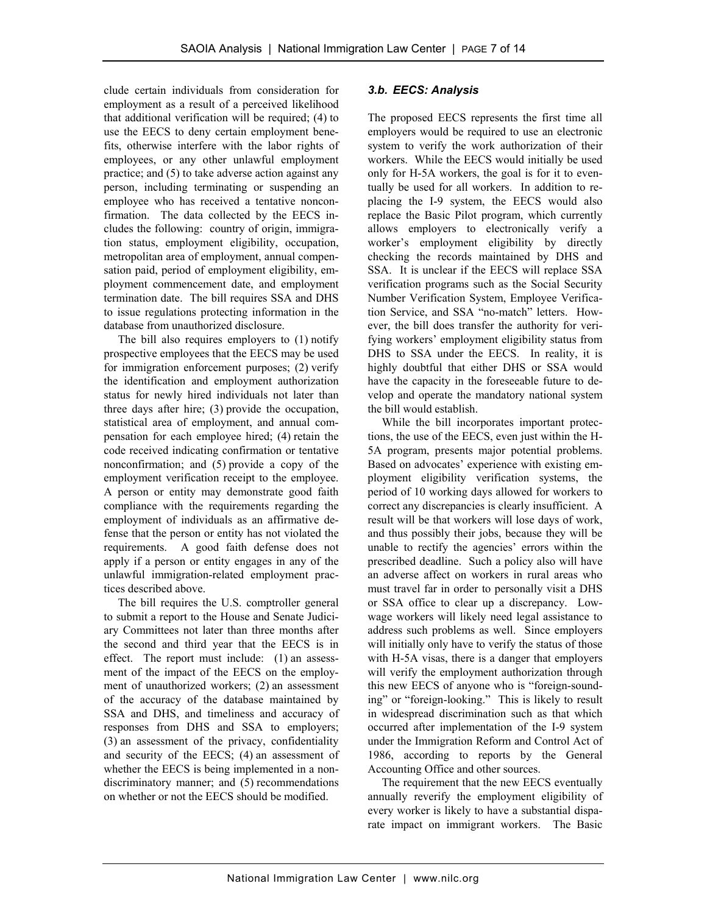clude certain individuals from consideration for employment as a result of a perceived likelihood that additional verification will be required; (4) to use the EECS to deny certain employment benefits, otherwise interfere with the labor rights of employees, or any other unlawful employment practice; and (5) to take adverse action against any person, including terminating or suspending an employee who has received a tentative nonconfirmation. The data collected by the EECS includes the following: country of origin, immigration status, employment eligibility, occupation, metropolitan area of employment, annual compensation paid, period of employment eligibility, employment commencement date, and employment termination date. The bill requires SSA and DHS to issue regulations protecting information in the database from unauthorized disclosure.

 The bill also requires employers to (1) notify prospective employees that the EECS may be used for immigration enforcement purposes; (2) verify the identification and employment authorization status for newly hired individuals not later than three days after hire; (3) provide the occupation, statistical area of employment, and annual compensation for each employee hired; (4) retain the code received indicating confirmation or tentative nonconfirmation; and (5) provide a copy of the employment verification receipt to the employee. A person or entity may demonstrate good faith compliance with the requirements regarding the employment of individuals as an affirmative defense that the person or entity has not violated the requirements. A good faith defense does not apply if a person or entity engages in any of the unlawful immigration-related employment practices described above.

 The bill requires the U.S. comptroller general to submit a report to the House and Senate Judiciary Committees not later than three months after the second and third year that the EECS is in effect. The report must include: (1) an assessment of the impact of the EECS on the employment of unauthorized workers; (2) an assessment of the accuracy of the database maintained by SSA and DHS, and timeliness and accuracy of responses from DHS and SSA to employers; (3) an assessment of the privacy, confidentiality and security of the EECS; (4) an assessment of whether the EECS is being implemented in a nondiscriminatory manner; and (5) recommendations on whether or not the EECS should be modified.

#### *3.b. EECS: Analysis*

The proposed EECS represents the first time all employers would be required to use an electronic system to verify the work authorization of their workers. While the EECS would initially be used only for H-5A workers, the goal is for it to eventually be used for all workers. In addition to replacing the I-9 system, the EECS would also replace the Basic Pilot program, which currently allows employers to electronically verify a worker's employment eligibility by directly checking the records maintained by DHS and SSA. It is unclear if the EECS will replace SSA verification programs such as the Social Security Number Verification System, Employee Verification Service, and SSA "no-match" letters. However, the bill does transfer the authority for verifying workers' employment eligibility status from DHS to SSA under the EECS. In reality, it is highly doubtful that either DHS or SSA would have the capacity in the foreseeable future to develop and operate the mandatory national system the bill would establish.

 While the bill incorporates important protections, the use of the EECS, even just within the H-5A program, presents major potential problems. Based on advocates' experience with existing employment eligibility verification systems, the period of 10 working days allowed for workers to correct any discrepancies is clearly insufficient. A result will be that workers will lose days of work, and thus possibly their jobs, because they will be unable to rectify the agencies' errors within the prescribed deadline. Such a policy also will have an adverse affect on workers in rural areas who must travel far in order to personally visit a DHS or SSA office to clear up a discrepancy. Lowwage workers will likely need legal assistance to address such problems as well. Since employers will initially only have to verify the status of those with H-5A visas, there is a danger that employers will verify the employment authorization through this new EECS of anyone who is "foreign-sounding" or "foreign-looking." This is likely to result in widespread discrimination such as that which occurred after implementation of the I-9 system under the Immigration Reform and Control Act of 1986, according to reports by the General Accounting Office and other sources.

The requirement that the new EECS eventually annually reverify the employment eligibility of every worker is likely to have a substantial disparate impact on immigrant workers. The Basic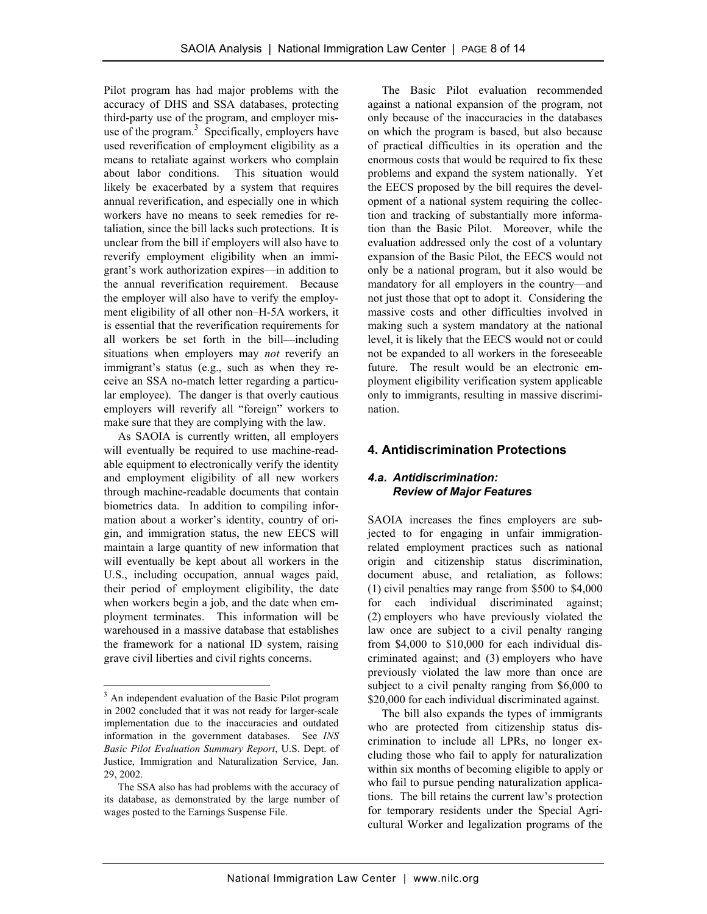Pilot program has had major problems with the accuracy of DHS and SSA databases, protecting third-party use of the program, and employer misuse of the program. $3$  Specifically, employers have used reverification of employment eligibility as a means to retaliate against workers who complain about labor conditions. This situation would likely be exacerbated by a system that requires annual reverification, and especially one in which workers have no means to seek remedies for retaliation, since the bill lacks such protections. It is unclear from the bill if employers will also have to reverify employment eligibility when an immigrant's work authorization expires—in addition to the annual reverification requirement. Because the employer will also have to verify the employment eligibility of all other non–H-5A workers, it is essential that the reverification requirements for all workers be set forth in the bill—including situations when employers may *not* reverify an immigrant's status (e.g., such as when they receive an SSA no-match letter regarding a particular employee). The danger is that overly cautious employers will reverify all "foreign" workers to make sure that they are complying with the law.

 As SAOIA is currently written, all employers will eventually be required to use machine-readable equipment to electronically verify the identity and employment eligibility of all new workers through machine-readable documents that contain biometrics data. In addition to compiling information about a worker's identity, country of origin, and immigration status, the new EECS will maintain a large quantity of new information that will eventually be kept about all workers in the U.S., including occupation, annual wages paid, their period of employment eligibility, the date when workers begin a job, and the date when employment terminates. This information will be warehoused in a massive database that establishes the framework for a national ID system, raising grave civil liberties and civil rights concerns.

-

 The Basic Pilot evaluation recommended against a national expansion of the program, not only because of the inaccuracies in the databases on which the program is based, but also because of practical difficulties in its operation and the enormous costs that would be required to fix these problems and expand the system nationally. Yet the EECS proposed by the bill requires the development of a national system requiring the collection and tracking of substantially more information than the Basic Pilot. Moreover, while the evaluation addressed only the cost of a voluntary expansion of the Basic Pilot, the EECS would not only be a national program, but it also would be mandatory for all employers in the country—and not just those that opt to adopt it. Considering the massive costs and other difficulties involved in making such a system mandatory at the national level, it is likely that the EECS would not or could not be expanded to all workers in the foreseeable future. The result would be an electronic employment eligibility verification system applicable only to immigrants, resulting in massive discrimination.

### **4. Antidiscrimination Protections**

#### *4.a. Antidiscrimination: Review of Major Features*

SAOIA increases the fines employers are subjected to for engaging in unfair immigrationrelated employment practices such as national origin and citizenship status discrimination, document abuse, and retaliation, as follows: (1) civil penalties may range from \$500 to \$4,000 for each individual discriminated against; (2) employers who have previously violated the law once are subject to a civil penalty ranging from \$4,000 to \$10,000 for each individual discriminated against; and (3) employers who have previously violated the law more than once are subject to a civil penalty ranging from \$6,000 to \$20,000 for each individual discriminated against.

 The bill also expands the types of immigrants who are protected from citizenship status discrimination to include all LPRs, no longer excluding those who fail to apply for naturalization within six months of becoming eligible to apply or who fail to pursue pending naturalization applications. The bill retains the current law's protection for temporary residents under the Special Agricultural Worker and legalization programs of the

<sup>&</sup>lt;sup>3</sup> An independent evaluation of the Basic Pilot program in 2002 concluded that it was not ready for larger-scale implementation due to the inaccuracies and outdated information in the government databases. See *INS Basic Pilot Evaluation Summary Report*, U.S. Dept. of Justice, Immigration and Naturalization Service, Jan. 29, 2002.

The SSA also has had problems with the accuracy of its database, as demonstrated by the large number of wages posted to the Earnings Suspense File.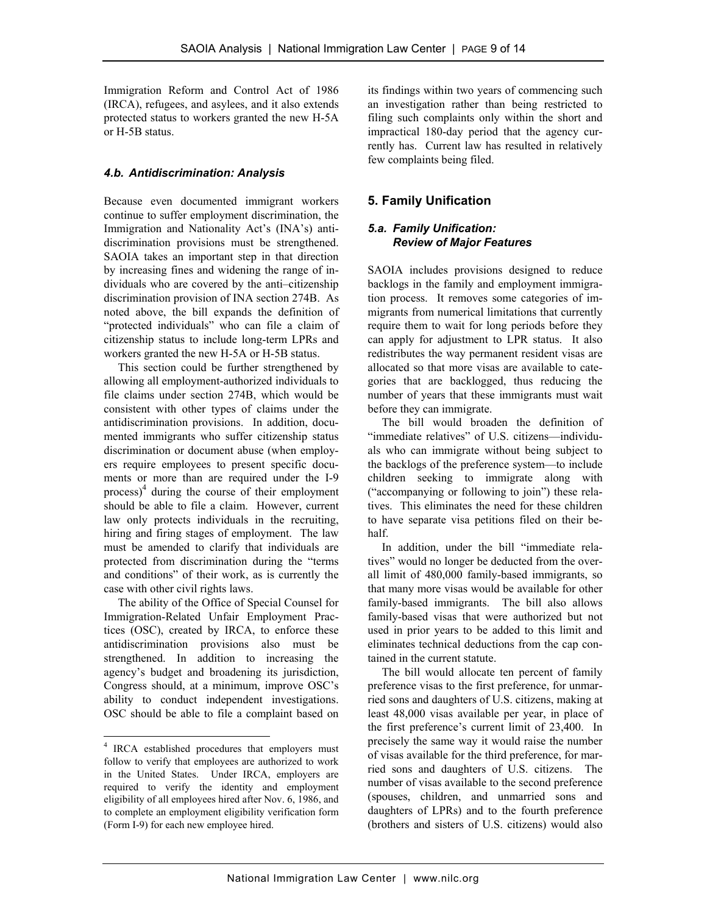Immigration Reform and Control Act of 1986 (IRCA), refugees, and asylees, and it also extends protected status to workers granted the new H-5A or H-5B status.

#### *4.b. Antidiscrimination: Analysis*

Because even documented immigrant workers continue to suffer employment discrimination, the Immigration and Nationality Act's (INA's) antidiscrimination provisions must be strengthened. SAOIA takes an important step in that direction by increasing fines and widening the range of individuals who are covered by the anti–citizenship discrimination provision of INA section 274B. As noted above, the bill expands the definition of "protected individuals" who can file a claim of citizenship status to include long-term LPRs and workers granted the new H-5A or H-5B status.

 This section could be further strengthened by allowing all employment-authorized individuals to file claims under section 274B, which would be consistent with other types of claims under the antidiscrimination provisions. In addition, documented immigrants who suffer citizenship status discrimination or document abuse (when employers require employees to present specific documents or more than are required under the I-9  $\frac{1}{2}$  during the course of their employment should be able to file a claim. However, current law only protects individuals in the recruiting, hiring and firing stages of employment. The law must be amended to clarify that individuals are protected from discrimination during the "terms and conditions" of their work, as is currently the case with other civil rights laws.

 The ability of the Office of Special Counsel for Immigration-Related Unfair Employment Practices (OSC), created by IRCA, to enforce these antidiscrimination provisions also must be strengthened. In addition to increasing the agency's budget and broadening its jurisdiction, Congress should, at a minimum, improve OSC's ability to conduct independent investigations. OSC should be able to file a complaint based on

 $\overline{a}$ 

its findings within two years of commencing such an investigation rather than being restricted to filing such complaints only within the short and impractical 180-day period that the agency currently has. Current law has resulted in relatively few complaints being filed.

# **5. Family Unification**

#### *5.a. Family Unification: Review of Major Features*

SAOIA includes provisions designed to reduce backlogs in the family and employment immigration process. It removes some categories of immigrants from numerical limitations that currently require them to wait for long periods before they can apply for adjustment to LPR status. It also redistributes the way permanent resident visas are allocated so that more visas are available to categories that are backlogged, thus reducing the number of years that these immigrants must wait before they can immigrate.

 The bill would broaden the definition of "immediate relatives" of U.S. citizens—individuals who can immigrate without being subject to the backlogs of the preference system—to include children seeking to immigrate along with ("accompanying or following to join") these relatives. This eliminates the need for these children to have separate visa petitions filed on their behalf.

 In addition, under the bill "immediate relatives" would no longer be deducted from the overall limit of 480,000 family-based immigrants, so that many more visas would be available for other family-based immigrants. The bill also allows family-based visas that were authorized but not used in prior years to be added to this limit and eliminates technical deductions from the cap contained in the current statute.

 The bill would allocate ten percent of family preference visas to the first preference, for unmarried sons and daughters of U.S. citizens, making at least 48,000 visas available per year, in place of the first preference's current limit of 23,400. In precisely the same way it would raise the number of visas available for the third preference, for married sons and daughters of U.S. citizens. The number of visas available to the second preference (spouses, children, and unmarried sons and daughters of LPRs) and to the fourth preference (brothers and sisters of U.S. citizens) would also

<sup>&</sup>lt;sup>4</sup> IRCA established procedures that employers must follow to verify that employees are authorized to work in the United States. Under IRCA, employers are required to verify the identity and employment eligibility of all employees hired after Nov. 6, 1986, and to complete an employment eligibility verification form (Form I-9) for each new employee hired.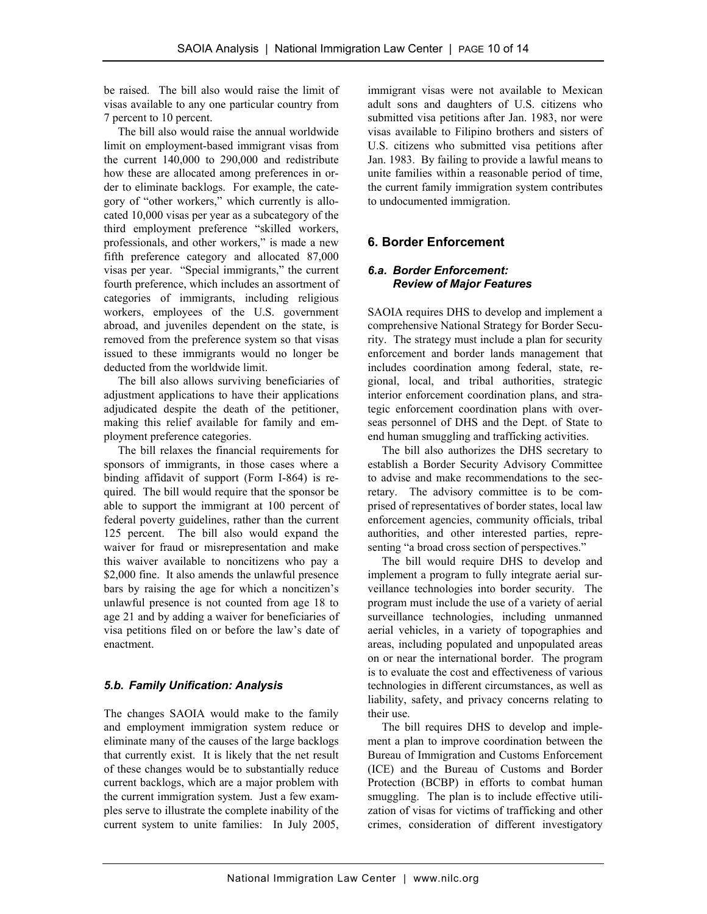be raised. The bill also would raise the limit of visas available to any one particular country from 7 percent to 10 percent.

 The bill also would raise the annual worldwide limit on employment-based immigrant visas from the current 140,000 to 290,000 and redistribute how these are allocated among preferences in order to eliminate backlogs. For example, the category of "other workers," which currently is allocated 10,000 visas per year as a subcategory of the third employment preference "skilled workers, professionals, and other workers," is made a new fifth preference category and allocated 87,000 visas per year. "Special immigrants," the current fourth preference, which includes an assortment of categories of immigrants, including religious workers, employees of the U.S. government abroad, and juveniles dependent on the state, is removed from the preference system so that visas issued to these immigrants would no longer be deducted from the worldwide limit.

 The bill also allows surviving beneficiaries of adjustment applications to have their applications adjudicated despite the death of the petitioner, making this relief available for family and employment preference categories.

 The bill relaxes the financial requirements for sponsors of immigrants, in those cases where a binding affidavit of support (Form I-864) is required. The bill would require that the sponsor be able to support the immigrant at 100 percent of federal poverty guidelines, rather than the current 125 percent. The bill also would expand the waiver for fraud or misrepresentation and make this waiver available to noncitizens who pay a \$2,000 fine. It also amends the unlawful presence bars by raising the age for which a noncitizen's unlawful presence is not counted from age 18 to age 21 and by adding a waiver for beneficiaries of visa petitions filed on or before the law's date of enactment.

#### *5.b. Family Unification: Analysis*

The changes SAOIA would make to the family and employment immigration system reduce or eliminate many of the causes of the large backlogs that currently exist. It is likely that the net result of these changes would be to substantially reduce current backlogs, which are a major problem with the current immigration system. Just a few examples serve to illustrate the complete inability of the current system to unite families: In July 2005, immigrant visas were not available to Mexican adult sons and daughters of U.S. citizens who submitted visa petitions after Jan. 1983, nor were visas available to Filipino brothers and sisters of U.S. citizens who submitted visa petitions after Jan. 1983. By failing to provide a lawful means to unite families within a reasonable period of time, the current family immigration system contributes to undocumented immigration.

# **6. Border Enforcement**

#### *6.a. Border Enforcement: Review of Major Features*

SAOIA requires DHS to develop and implement a comprehensive National Strategy for Border Security. The strategy must include a plan for security enforcement and border lands management that includes coordination among federal, state, regional, local, and tribal authorities, strategic interior enforcement coordination plans, and strategic enforcement coordination plans with overseas personnel of DHS and the Dept. of State to end human smuggling and trafficking activities.

 The bill also authorizes the DHS secretary to establish a Border Security Advisory Committee to advise and make recommendations to the secretary. The advisory committee is to be comprised of representatives of border states, local law enforcement agencies, community officials, tribal authorities, and other interested parties, representing "a broad cross section of perspectives."

 The bill would require DHS to develop and implement a program to fully integrate aerial surveillance technologies into border security. The program must include the use of a variety of aerial surveillance technologies, including unmanned aerial vehicles, in a variety of topographies and areas, including populated and unpopulated areas on or near the international border. The program is to evaluate the cost and effectiveness of various technologies in different circumstances, as well as liability, safety, and privacy concerns relating to their use.

 The bill requires DHS to develop and implement a plan to improve coordination between the Bureau of Immigration and Customs Enforcement (ICE) and the Bureau of Customs and Border Protection (BCBP) in efforts to combat human smuggling. The plan is to include effective utilization of visas for victims of trafficking and other crimes, consideration of different investigatory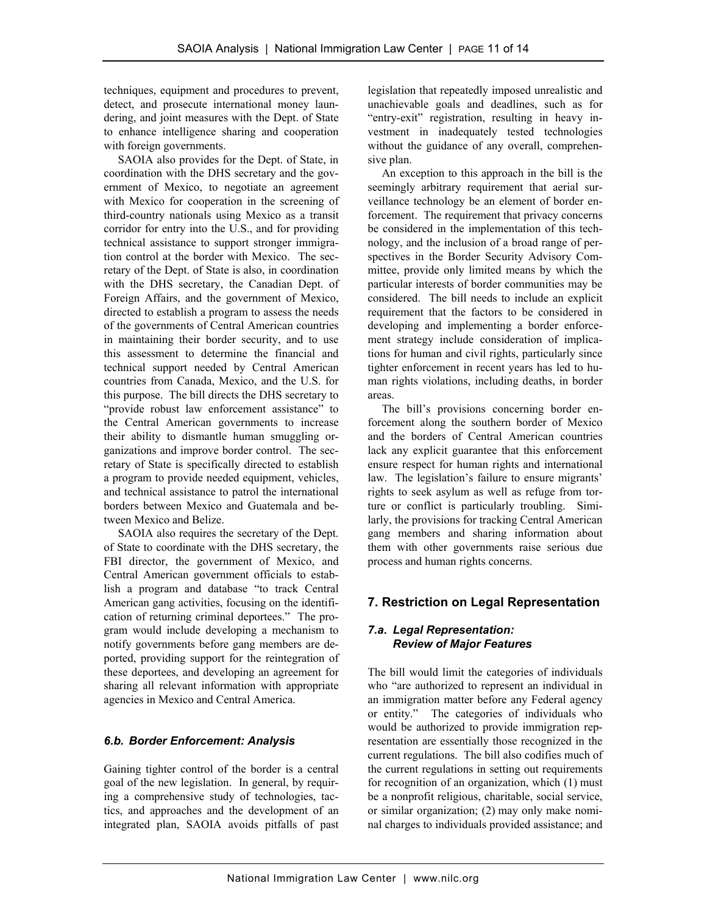techniques, equipment and procedures to prevent, detect, and prosecute international money laundering, and joint measures with the Dept. of State to enhance intelligence sharing and cooperation with foreign governments.

 SAOIA also provides for the Dept. of State, in coordination with the DHS secretary and the government of Mexico, to negotiate an agreement with Mexico for cooperation in the screening of third-country nationals using Mexico as a transit corridor for entry into the U.S., and for providing technical assistance to support stronger immigration control at the border with Mexico. The secretary of the Dept. of State is also, in coordination with the DHS secretary, the Canadian Dept. of Foreign Affairs, and the government of Mexico, directed to establish a program to assess the needs of the governments of Central American countries in maintaining their border security, and to use this assessment to determine the financial and technical support needed by Central American countries from Canada, Mexico, and the U.S. for this purpose. The bill directs the DHS secretary to "provide robust law enforcement assistance" to the Central American governments to increase their ability to dismantle human smuggling organizations and improve border control. The secretary of State is specifically directed to establish a program to provide needed equipment, vehicles, and technical assistance to patrol the international borders between Mexico and Guatemala and between Mexico and Belize.

 SAOIA also requires the secretary of the Dept. of State to coordinate with the DHS secretary, the FBI director, the government of Mexico, and Central American government officials to establish a program and database "to track Central American gang activities, focusing on the identification of returning criminal deportees." The program would include developing a mechanism to notify governments before gang members are deported, providing support for the reintegration of these deportees, and developing an agreement for sharing all relevant information with appropriate agencies in Mexico and Central America.

#### *6.b. Border Enforcement: Analysis*

Gaining tighter control of the border is a central goal of the new legislation. In general, by requiring a comprehensive study of technologies, tactics, and approaches and the development of an integrated plan, SAOIA avoids pitfalls of past legislation that repeatedly imposed unrealistic and unachievable goals and deadlines, such as for "entry-exit" registration, resulting in heavy investment in inadequately tested technologies without the guidance of any overall, comprehensive plan.

 An exception to this approach in the bill is the seemingly arbitrary requirement that aerial surveillance technology be an element of border enforcement. The requirement that privacy concerns be considered in the implementation of this technology, and the inclusion of a broad range of perspectives in the Border Security Advisory Committee, provide only limited means by which the particular interests of border communities may be considered. The bill needs to include an explicit requirement that the factors to be considered in developing and implementing a border enforcement strategy include consideration of implications for human and civil rights, particularly since tighter enforcement in recent years has led to human rights violations, including deaths, in border areas.

 The bill's provisions concerning border enforcement along the southern border of Mexico and the borders of Central American countries lack any explicit guarantee that this enforcement ensure respect for human rights and international law. The legislation's failure to ensure migrants' rights to seek asylum as well as refuge from torture or conflict is particularly troubling. Similarly, the provisions for tracking Central American gang members and sharing information about them with other governments raise serious due process and human rights concerns.

# **7. Restriction on Legal Representation**

#### *7.a. Legal Representation: Review of Major Features*

The bill would limit the categories of individuals who "are authorized to represent an individual in an immigration matter before any Federal agency or entity." The categories of individuals who would be authorized to provide immigration representation are essentially those recognized in the current regulations. The bill also codifies much of the current regulations in setting out requirements for recognition of an organization, which (1) must be a nonprofit religious, charitable, social service, or similar organization; (2) may only make nominal charges to individuals provided assistance; and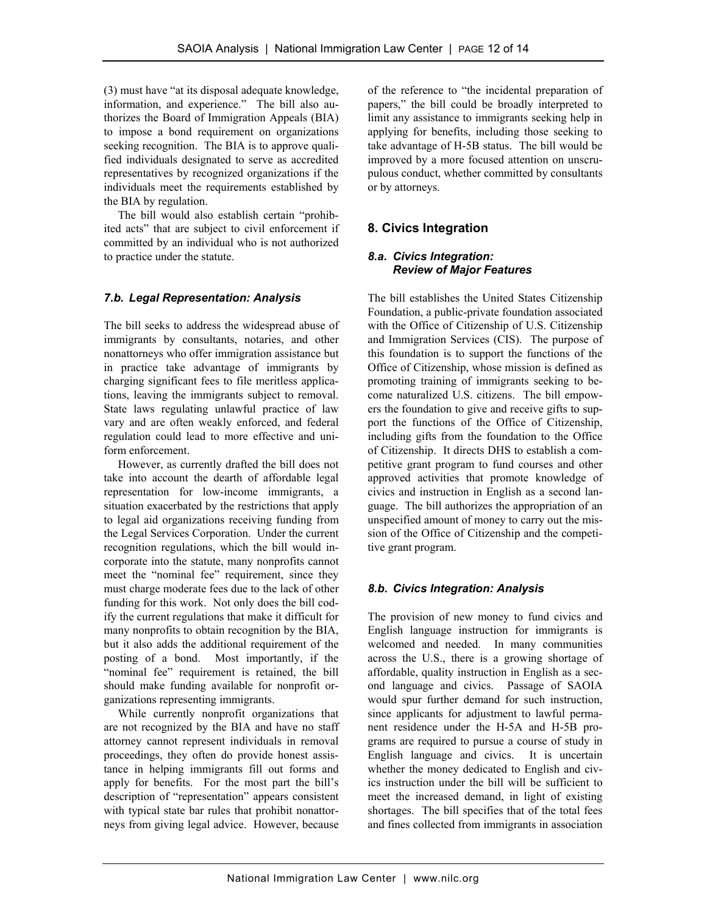(3) must have "at its disposal adequate knowledge, information, and experience." The bill also authorizes the Board of Immigration Appeals (BIA) to impose a bond requirement on organizations seeking recognition. The BIA is to approve qualified individuals designated to serve as accredited representatives by recognized organizations if the individuals meet the requirements established by the BIA by regulation.

 The bill would also establish certain "prohibited acts" that are subject to civil enforcement if committed by an individual who is not authorized to practice under the statute.

#### *7.b. Legal Representation: Analysis*

The bill seeks to address the widespread abuse of immigrants by consultants, notaries, and other nonattorneys who offer immigration assistance but in practice take advantage of immigrants by charging significant fees to file meritless applications, leaving the immigrants subject to removal. State laws regulating unlawful practice of law vary and are often weakly enforced, and federal regulation could lead to more effective and uniform enforcement.

 However, as currently drafted the bill does not take into account the dearth of affordable legal representation for low-income immigrants, a situation exacerbated by the restrictions that apply to legal aid organizations receiving funding from the Legal Services Corporation. Under the current recognition regulations, which the bill would incorporate into the statute, many nonprofits cannot meet the "nominal fee" requirement, since they must charge moderate fees due to the lack of other funding for this work. Not only does the bill codify the current regulations that make it difficult for many nonprofits to obtain recognition by the BIA, but it also adds the additional requirement of the posting of a bond. Most importantly, if the "nominal fee" requirement is retained, the bill should make funding available for nonprofit organizations representing immigrants.

 While currently nonprofit organizations that are not recognized by the BIA and have no staff attorney cannot represent individuals in removal proceedings, they often do provide honest assistance in helping immigrants fill out forms and apply for benefits. For the most part the bill's description of "representation" appears consistent with typical state bar rules that prohibit nonattorneys from giving legal advice. However, because

of the reference to "the incidental preparation of papers," the bill could be broadly interpreted to limit any assistance to immigrants seeking help in applying for benefits, including those seeking to take advantage of H-5B status. The bill would be improved by a more focused attention on unscrupulous conduct, whether committed by consultants or by attorneys.

# **8. Civics Integration**

#### *8.a. Civics Integration: Review of Major Features*

The bill establishes the United States Citizenship Foundation, a public-private foundation associated with the Office of Citizenship of U.S. Citizenship and Immigration Services (CIS). The purpose of this foundation is to support the functions of the Office of Citizenship, whose mission is defined as promoting training of immigrants seeking to become naturalized U.S. citizens. The bill empowers the foundation to give and receive gifts to support the functions of the Office of Citizenship, including gifts from the foundation to the Office of Citizenship. It directs DHS to establish a competitive grant program to fund courses and other approved activities that promote knowledge of civics and instruction in English as a second language. The bill authorizes the appropriation of an unspecified amount of money to carry out the mission of the Office of Citizenship and the competitive grant program.

#### *8.b. Civics Integration: Analysis*

The provision of new money to fund civics and English language instruction for immigrants is welcomed and needed. In many communities across the U.S., there is a growing shortage of affordable, quality instruction in English as a second language and civics. Passage of SAOIA would spur further demand for such instruction, since applicants for adjustment to lawful permanent residence under the H-5A and H-5B programs are required to pursue a course of study in English language and civics. It is uncertain whether the money dedicated to English and civics instruction under the bill will be sufficient to meet the increased demand, in light of existing shortages. The bill specifies that of the total fees and fines collected from immigrants in association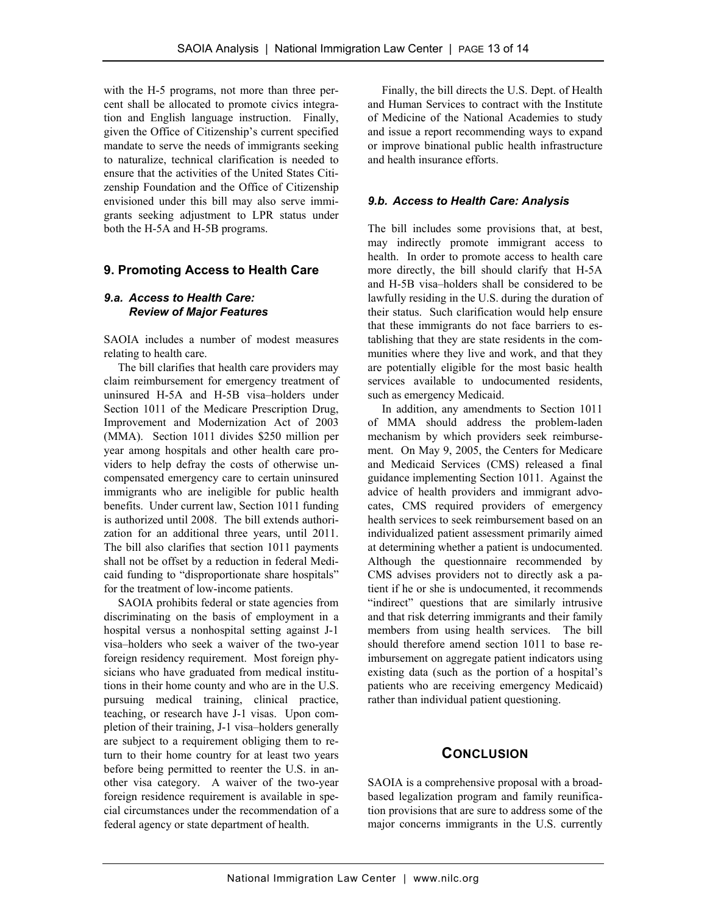with the H-5 programs, not more than three percent shall be allocated to promote civics integration and English language instruction. Finally, given the Office of Citizenship's current specified mandate to serve the needs of immigrants seeking to naturalize, technical clarification is needed to ensure that the activities of the United States Citizenship Foundation and the Office of Citizenship envisioned under this bill may also serve immigrants seeking adjustment to LPR status under both the H-5A and H-5B programs.

#### **9. Promoting Access to Health Care**

#### *9.a. Access to Health Care: Review of Major Features*

SAOIA includes a number of modest measures relating to health care.

 The bill clarifies that health care providers may claim reimbursement for emergency treatment of uninsured H-5A and H-5B visa–holders under Section 1011 of the Medicare Prescription Drug, Improvement and Modernization Act of 2003 (MMA). Section 1011 divides \$250 million per year among hospitals and other health care providers to help defray the costs of otherwise uncompensated emergency care to certain uninsured immigrants who are ineligible for public health benefits. Under current law, Section 1011 funding is authorized until 2008. The bill extends authorization for an additional three years, until 2011. The bill also clarifies that section 1011 payments shall not be offset by a reduction in federal Medicaid funding to "disproportionate share hospitals" for the treatment of low-income patients.

 SAOIA prohibits federal or state agencies from discriminating on the basis of employment in a hospital versus a nonhospital setting against J-1 visa–holders who seek a waiver of the two-year foreign residency requirement. Most foreign physicians who have graduated from medical institutions in their home county and who are in the U.S. pursuing medical training, clinical practice, teaching, or research have J-1 visas. Upon completion of their training, J-1 visa–holders generally are subject to a requirement obliging them to return to their home country for at least two years before being permitted to reenter the U.S. in another visa category. A waiver of the two-year foreign residence requirement is available in special circumstances under the recommendation of a federal agency or state department of health.

 Finally, the bill directs the U.S. Dept. of Health and Human Services to contract with the Institute of Medicine of the National Academies to study and issue a report recommending ways to expand or improve binational public health infrastructure and health insurance efforts.

#### *9.b. Access to Health Care: Analysis*

The bill includes some provisions that, at best, may indirectly promote immigrant access to health. In order to promote access to health care more directly, the bill should clarify that H-5A and H-5B visa–holders shall be considered to be lawfully residing in the U.S. during the duration of their status. Such clarification would help ensure that these immigrants do not face barriers to establishing that they are state residents in the communities where they live and work, and that they are potentially eligible for the most basic health services available to undocumented residents, such as emergency Medicaid.

 In addition, any amendments to Section 1011 of MMA should address the problem-laden mechanism by which providers seek reimbursement. On May 9, 2005, the Centers for Medicare and Medicaid Services (CMS) released a final guidance implementing Section 1011. Against the advice of health providers and immigrant advocates, CMS required providers of emergency health services to seek reimbursement based on an individualized patient assessment primarily aimed at determining whether a patient is undocumented. Although the questionnaire recommended by CMS advises providers not to directly ask a patient if he or she is undocumented, it recommends "indirect" questions that are similarly intrusive and that risk deterring immigrants and their family members from using health services. The bill should therefore amend section 1011 to base reimbursement on aggregate patient indicators using existing data (such as the portion of a hospital's patients who are receiving emergency Medicaid) rather than individual patient questioning.

#### **CONCLUSION**

SAOIA is a comprehensive proposal with a broadbased legalization program and family reunification provisions that are sure to address some of the major concerns immigrants in the U.S. currently